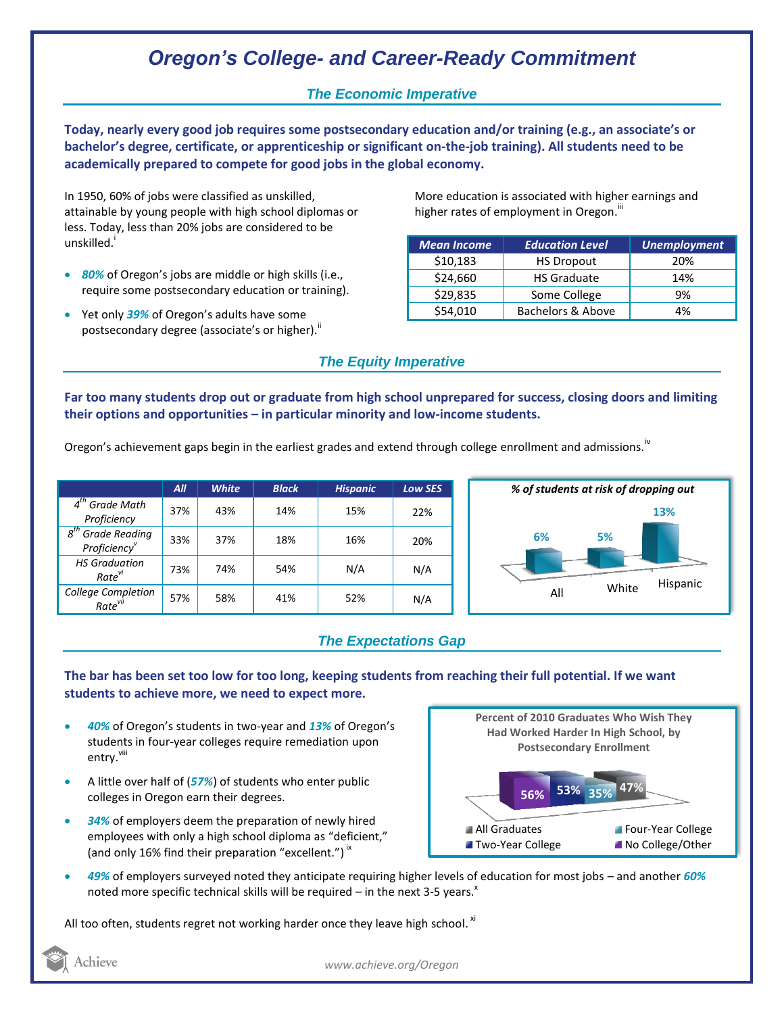# *Oregon's College- and Career-Ready Commitment*

## *The Economic Imperative*

**Today, nearly every good job requires some postsecondary education and/or training (e.g., an associate's or bachelor's degree, certificate, or apprenticeship or significant on-the-job training). All students need to be academically prepared to compete for good jobs in the global economy.**

In 1950, 60% of jobs were classified as unskilled, attainable by young people with high school diplomas or less. Today, less than 20% jobs are considered to be unskilled.<sup>1</sup>

- *80%* of Oregon's jobs are middle or high skills (i.e., require some postsecondary education or training).
- Yet only 39% of Oregon's adults have some postsecondary degree (associate's or higher). $^{\text{ii}}$

More education is associated with higher earnings and higher rates of employment in Oregon.<sup>""</sup>

| <b>Mean Income</b> | <b>Education Level</b> | <b>Unemployment</b> |
|--------------------|------------------------|---------------------|
| \$10,183           | <b>HS Dropout</b>      | 20%                 |
| \$24,660           | <b>HS Graduate</b>     | 14%                 |
| \$29,835           | Some College           | 9%                  |
| \$54,010           | Bachelors & Above      | 4%                  |

## *The Equity Imperative*

**Far too many students drop out or graduate from high school unprepared for success, closing doors and limiting their options and opportunities – in particular minority and low-income students.** 

Oregon's achievement gaps begin in the earliest grades and extend through college enrollment and admissions.<sup>iv</sup>

|                                                              | $A$ ll | <b>White</b> | <b>Black</b> | <b>Hispanic</b> | Low SES |
|--------------------------------------------------------------|--------|--------------|--------------|-----------------|---------|
| $4th$ Grade Math<br>Proficiency                              | 37%    | 43%          | 14%          | 15%             | 22%     |
| <b>Grade Reading</b><br>$g^{th}$<br>Proficiency <sup>v</sup> | 33%    | 37%          | 18%          | 16%             | 20%     |
| <b>HS Graduation</b><br>Rate <sup>vi</sup>                   | 73%    | 74%          | 54%          | N/A             | N/A     |
| College Completion<br>Rate <sup>vii</sup>                    | 57%    | 58%          | 41%          | 52%             | N/A     |



## *The Expectations Gap*

#### **The bar has been set too low for too long, keeping students from reaching their full potential. If we want students to achieve more, we need to expect more.**

- *40%* of Oregon's students in two-year and *13%* of Oregon's students in four-year colleges require remediation upon entry.<sup>viii</sup>
- A little over half of (*57%*) of students who enter public colleges in Oregon earn their degrees.
- *34%* of employers deem the preparation of newly hired employees with only a high school diploma as "deficient," (and only 16% find their preparation "excellent.")<sup>ix</sup>



 *49%* of employers surveyed noted they anticipate requiring higher levels of education for most jobs – and another *60%* noted more specific technical skills will be required  $-$  in the next 3-5 years.<sup>x</sup>

All too often, students regret not working harder once they leave high school.  $^{\text{xi}}$